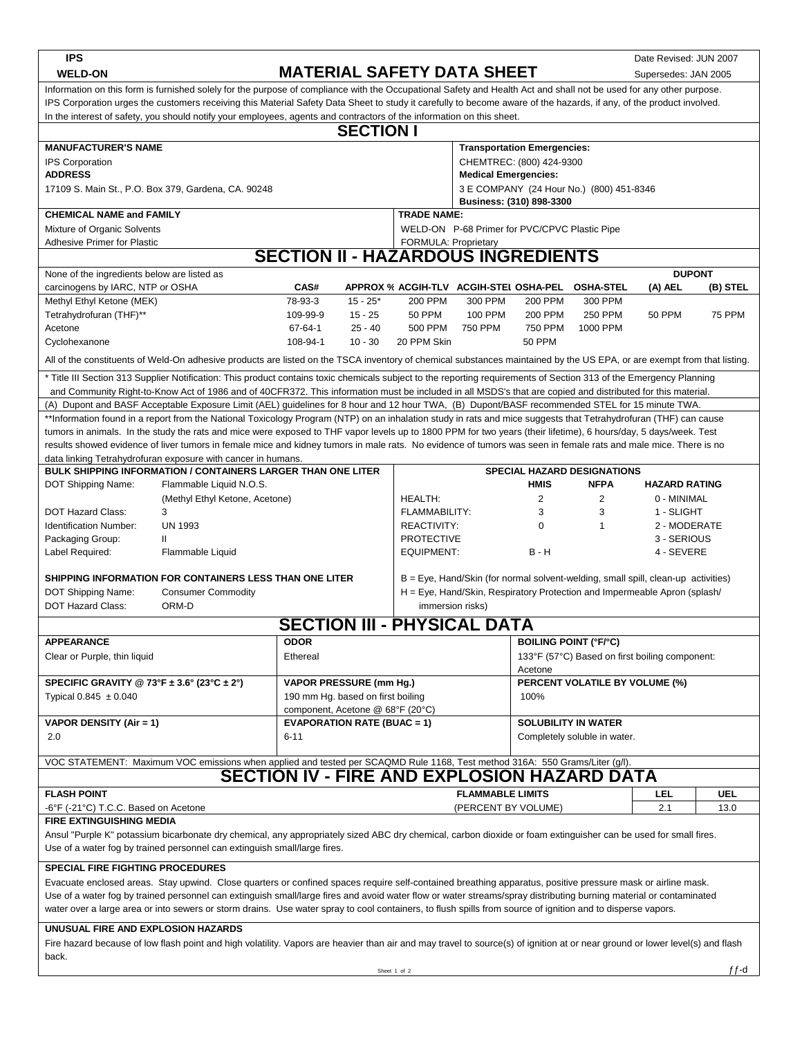| <b>IPS</b>                                                                                                                                                                                             |                                                                                                                                                                         |                                               |                                                                                                                                                                   |                                                         |                                                |                                                                                |                                                    | Date Revised: JUN 2007 |               |  |  |  |
|--------------------------------------------------------------------------------------------------------------------------------------------------------------------------------------------------------|-------------------------------------------------------------------------------------------------------------------------------------------------------------------------|-----------------------------------------------|-------------------------------------------------------------------------------------------------------------------------------------------------------------------|---------------------------------------------------------|------------------------------------------------|--------------------------------------------------------------------------------|----------------------------------------------------|------------------------|---------------|--|--|--|
| <b>WELD-ON</b>                                                                                                                                                                                         |                                                                                                                                                                         | <b>MATERIAL SAFETY DATA SHEET</b>             |                                                                                                                                                                   |                                                         |                                                |                                                                                | Supersedes: JAN 2005                               |                        |               |  |  |  |
| Information on this form is furnished solely for the purpose of compliance with the Occupational Safety and Health Act and shall not be used for any other purpose.                                    |                                                                                                                                                                         |                                               |                                                                                                                                                                   |                                                         |                                                |                                                                                |                                                    |                        |               |  |  |  |
| IPS Corporation urges the customers receiving this Material Safety Data Sheet to study it carefully to become aware of the hazards, if any, of the product involved.                                   |                                                                                                                                                                         |                                               |                                                                                                                                                                   |                                                         |                                                |                                                                                |                                                    |                        |               |  |  |  |
| In the interest of safety, you should notify your employees, agents and contractors of the information on this sheet.<br><b>SECTION I</b>                                                              |                                                                                                                                                                         |                                               |                                                                                                                                                                   |                                                         |                                                |                                                                                |                                                    |                        |               |  |  |  |
|                                                                                                                                                                                                        |                                                                                                                                                                         |                                               |                                                                                                                                                                   |                                                         |                                                |                                                                                |                                                    |                        |               |  |  |  |
| <b>MANUFACTURER'S NAME</b><br><b>Transportation Emergencies:</b>                                                                                                                                       |                                                                                                                                                                         |                                               |                                                                                                                                                                   |                                                         |                                                |                                                                                |                                                    |                        |               |  |  |  |
| <b>IPS Corporation</b><br><b>ADDRESS</b>                                                                                                                                                               |                                                                                                                                                                         |                                               |                                                                                                                                                                   | CHEMTREC: (800) 424-9300<br><b>Medical Emergencies:</b> |                                                |                                                                                |                                                    |                        |               |  |  |  |
|                                                                                                                                                                                                        | 17109 S. Main St., P.O. Box 379, Gardena, CA. 90248                                                                                                                     |                                               |                                                                                                                                                                   | 3 E COMPANY (24 Hour No.) (800) 451-8346                |                                                |                                                                                |                                                    |                        |               |  |  |  |
|                                                                                                                                                                                                        |                                                                                                                                                                         |                                               |                                                                                                                                                                   |                                                         |                                                | Business: (310) 898-3300                                                       |                                                    |                        |               |  |  |  |
| <b>CHEMICAL NAME and FAMILY</b>                                                                                                                                                                        |                                                                                                                                                                         |                                               | <b>TRADE NAME:</b>                                                                                                                                                |                                                         |                                                |                                                                                |                                                    |                        |               |  |  |  |
| Mixture of Organic Solvents                                                                                                                                                                            |                                                                                                                                                                         | WELD-ON P-68 Primer for PVC/CPVC Plastic Pipe |                                                                                                                                                                   |                                                         |                                                |                                                                                |                                                    |                        |               |  |  |  |
| <b>Adhesive Primer for Plastic</b><br>FORMULA: Proprietary                                                                                                                                             |                                                                                                                                                                         |                                               |                                                                                                                                                                   |                                                         |                                                |                                                                                |                                                    |                        |               |  |  |  |
| <b>SECTION II - HAZARDOUS INGREDIENTS</b><br><b>DUPONT</b>                                                                                                                                             |                                                                                                                                                                         |                                               |                                                                                                                                                                   |                                                         |                                                |                                                                                |                                                    |                        |               |  |  |  |
| None of the ingredients below are listed as<br>carcinogens by IARC, NTP or OSHA                                                                                                                        |                                                                                                                                                                         | CAS#                                          |                                                                                                                                                                   |                                                         |                                                |                                                                                | APPROX % ACGIH-TLV ACGIH-STEI OSHA-PEL OSHA-STEL   | (A) AEL                | (B) STEL      |  |  |  |
| Methyl Ethyl Ketone (MEK)                                                                                                                                                                              |                                                                                                                                                                         | 78-93-3                                       | $15 - 25*$                                                                                                                                                        | 200 PPM                                                 | 300 PPM                                        | <b>200 PPM</b>                                                                 | 300 PPM                                            |                        |               |  |  |  |
| Tetrahydrofuran (THF)**                                                                                                                                                                                |                                                                                                                                                                         | 109-99-9                                      | $15 - 25$                                                                                                                                                         | <b>50 PPM</b>                                           | <b>100 PPM</b>                                 | 200 PPM                                                                        | 250 PPM                                            | <b>50 PPM</b>          | <b>75 PPM</b> |  |  |  |
| Acetone                                                                                                                                                                                                |                                                                                                                                                                         | 67-64-1                                       | $25 - 40$                                                                                                                                                         | 500 PPM                                                 | 750 PPM                                        | 750 PPM                                                                        | 1000 PPM                                           |                        |               |  |  |  |
| Cyclohexanone                                                                                                                                                                                          |                                                                                                                                                                         | 108-94-1                                      | $10 - 30$                                                                                                                                                         | 20 PPM Skin                                             |                                                | <b>50 PPM</b>                                                                  |                                                    |                        |               |  |  |  |
|                                                                                                                                                                                                        | All of the constituents of Weld-On adhesive products are listed on the TSCA inventory of chemical substances maintained by the US EPA, or are exempt from that listing. |                                               |                                                                                                                                                                   |                                                         |                                                |                                                                                |                                                    |                        |               |  |  |  |
|                                                                                                                                                                                                        | * Title III Section 313 Supplier Notification: This product contains toxic chemicals subject to the reporting requirements of Section 313 of the Emergency Planning     |                                               |                                                                                                                                                                   |                                                         |                                                |                                                                                |                                                    |                        |               |  |  |  |
|                                                                                                                                                                                                        | and Community Right-to-Know Act of 1986 and of 40CFR372. This information must be included in all MSDS's that are copied and distributed for this material.             |                                               |                                                                                                                                                                   |                                                         |                                                |                                                                                |                                                    |                        |               |  |  |  |
|                                                                                                                                                                                                        | (A) Dupont and BASF Acceptable Exposure Limit (AEL) guidelines for 8 hour and 12 hour TWA, (B) Dupont/BASF recommended STEL for 15 minute TWA.                          |                                               |                                                                                                                                                                   |                                                         |                                                |                                                                                |                                                    |                        |               |  |  |  |
|                                                                                                                                                                                                        | **Information found in a report from the National Toxicology Program (NTP) on an inhalation study in rats and mice suggests that Tetrahydrofuran (THF) can cause        |                                               |                                                                                                                                                                   |                                                         |                                                |                                                                                |                                                    |                        |               |  |  |  |
|                                                                                                                                                                                                        | tumors in animals. In the study the rats and mice were exposed to THF vapor levels up to 1800 PPM for two years (their lifetime), 6 hours/day, 5 days/week. Test        |                                               |                                                                                                                                                                   |                                                         |                                                |                                                                                |                                                    |                        |               |  |  |  |
|                                                                                                                                                                                                        | results showed evidence of liver tumors in female mice and kidney tumors in male rats. No evidence of tumors was seen in female rats and male mice. There is no         |                                               |                                                                                                                                                                   |                                                         |                                                |                                                                                |                                                    |                        |               |  |  |  |
|                                                                                                                                                                                                        | data linking Tetrahydrofuran exposure with cancer in humans.<br><b>BULK SHIPPING INFORMATION / CONTAINERS LARGER THAN ONE LITER</b>                                     |                                               |                                                                                                                                                                   |                                                         |                                                |                                                                                | <b>SPECIAL HAZARD DESIGNATIONS</b>                 |                        |               |  |  |  |
| DOT Shipping Name:                                                                                                                                                                                     | Flammable Liquid N.O.S.                                                                                                                                                 |                                               |                                                                                                                                                                   |                                                         |                                                | <b>HMIS</b>                                                                    | <b>NFPA</b>                                        | <b>HAZARD RATING</b>   |               |  |  |  |
|                                                                                                                                                                                                        | (Methyl Ethyl Ketone, Acetone)                                                                                                                                          |                                               |                                                                                                                                                                   | <b>HEALTH:</b>                                          |                                                | 2                                                                              | $\overline{2}$                                     | 0 - MINIMAL            |               |  |  |  |
| <b>DOT Hazard Class:</b>                                                                                                                                                                               | 3                                                                                                                                                                       |                                               |                                                                                                                                                                   | FLAMMABILITY:                                           |                                                | 3                                                                              | 3                                                  | 1 - SLIGHT             |               |  |  |  |
| Identification Number:                                                                                                                                                                                 | <b>UN 1993</b>                                                                                                                                                          |                                               |                                                                                                                                                                   | <b>REACTIVITY:</b>                                      |                                                | $\mathbf 0$                                                                    | $\mathbf{1}$                                       | 2 - MODERATE           |               |  |  |  |
| Packaging Group:                                                                                                                                                                                       | $\mathbf{H}$                                                                                                                                                            |                                               |                                                                                                                                                                   | <b>PROTECTIVE</b>                                       |                                                |                                                                                |                                                    | 3 - SERIOUS            |               |  |  |  |
| Label Required:                                                                                                                                                                                        | Flammable Liquid                                                                                                                                                        |                                               |                                                                                                                                                                   | <b>EQUIPMENT:</b>                                       |                                                | B - H                                                                          |                                                    | 4 - SEVERE             |               |  |  |  |
|                                                                                                                                                                                                        | SHIPPING INFORMATION FOR CONTAINERS LESS THAN ONE LITER                                                                                                                 |                                               |                                                                                                                                                                   |                                                         |                                                |                                                                                |                                                    |                        |               |  |  |  |
| DOT Shipping Name:                                                                                                                                                                                     |                                                                                                                                                                         |                                               | $B = Eye$ , Hand/Skin (for normal solvent-welding, small spill, clean-up activities)<br>H = Eye, Hand/Skin, Respiratory Protection and Impermeable Apron (splash/ |                                                         |                                                |                                                                                |                                                    |                        |               |  |  |  |
| <b>DOT Hazard Class:</b>                                                                                                                                                                               | immersion risks)                                                                                                                                                        |                                               |                                                                                                                                                                   |                                                         |                                                |                                                                                |                                                    |                        |               |  |  |  |
|                                                                                                                                                                                                        |                                                                                                                                                                         |                                               |                                                                                                                                                                   | <b>SECTION III - PHYSICAL DATA</b>                      |                                                |                                                                                |                                                    |                        |               |  |  |  |
|                                                                                                                                                                                                        |                                                                                                                                                                         |                                               |                                                                                                                                                                   |                                                         |                                                |                                                                                |                                                    |                        |               |  |  |  |
| <b>APPEARANCE</b><br>Clear or Purple, thin liquid                                                                                                                                                      |                                                                                                                                                                         | <b>ODOR</b><br>Ethereal                       |                                                                                                                                                                   |                                                         |                                                | <b>BOILING POINT (°F/°C)</b><br>133°F (57°C) Based on first boiling component: |                                                    |                        |               |  |  |  |
|                                                                                                                                                                                                        |                                                                                                                                                                         |                                               |                                                                                                                                                                   |                                                         |                                                | Acetone                                                                        |                                                    |                        |               |  |  |  |
| SPECIFIC GRAVITY @ 73°F ± 3.6° (23°C ± 2°)                                                                                                                                                             |                                                                                                                                                                         |                                               | <b>VAPOR PRESSURE (mm Hg.)</b>                                                                                                                                    |                                                         |                                                | <b>PERCENT VOLATILE BY VOLUME (%)</b>                                          |                                                    |                        |               |  |  |  |
| Typical $0.845 \pm 0.040$                                                                                                                                                                              |                                                                                                                                                                         |                                               | 190 mm Hg. based on first boiling                                                                                                                                 |                                                         |                                                | 100%                                                                           |                                                    |                        |               |  |  |  |
|                                                                                                                                                                                                        |                                                                                                                                                                         |                                               | component, Acetone @ 68°F (20°C)                                                                                                                                  |                                                         |                                                |                                                                                |                                                    |                        |               |  |  |  |
| VAPOR DENSITY (Air = 1)                                                                                                                                                                                |                                                                                                                                                                         |                                               | <b>EVAPORATION RATE (BUAC = 1)</b>                                                                                                                                |                                                         |                                                | <b>SOLUBILITY IN WATER</b>                                                     |                                                    |                        |               |  |  |  |
| 2.0                                                                                                                                                                                                    |                                                                                                                                                                         |                                               | $6 - 11$                                                                                                                                                          |                                                         |                                                |                                                                                | Completely soluble in water.                       |                        |               |  |  |  |
|                                                                                                                                                                                                        | VOC STATEMENT: Maximum VOC emissions when applied and tested per SCAQMD Rule 1168, Test method 316A: 550 Grams/Liter (g/l).                                             |                                               |                                                                                                                                                                   |                                                         |                                                |                                                                                |                                                    |                        |               |  |  |  |
|                                                                                                                                                                                                        |                                                                                                                                                                         |                                               |                                                                                                                                                                   |                                                         |                                                |                                                                                | <b>SECTION IV - FIRE AND EXPLOSION HAZARD DATA</b> |                        |               |  |  |  |
|                                                                                                                                                                                                        |                                                                                                                                                                         |                                               |                                                                                                                                                                   |                                                         |                                                |                                                                                |                                                    | LEL                    |               |  |  |  |
| <b>FLASH POINT</b><br>-6°F (-21°C) T.C.C. Based on Acetone                                                                                                                                             |                                                                                                                                                                         |                                               |                                                                                                                                                                   |                                                         | <b>FLAMMABLE LIMITS</b><br>(PERCENT BY VOLUME) |                                                                                |                                                    | UEL                    |               |  |  |  |
| <b>FIRE EXTINGUISHING MEDIA</b>                                                                                                                                                                        |                                                                                                                                                                         |                                               |                                                                                                                                                                   |                                                         |                                                |                                                                                |                                                    | 2.1                    | 13.0          |  |  |  |
|                                                                                                                                                                                                        | Ansul "Purple K" potassium bicarbonate dry chemical, any appropriately sized ABC dry chemical, carbon dioxide or foam extinguisher can be used for small fires.         |                                               |                                                                                                                                                                   |                                                         |                                                |                                                                                |                                                    |                        |               |  |  |  |
|                                                                                                                                                                                                        | Use of a water fog by trained personnel can extinguish small/large fires.                                                                                               |                                               |                                                                                                                                                                   |                                                         |                                                |                                                                                |                                                    |                        |               |  |  |  |
|                                                                                                                                                                                                        |                                                                                                                                                                         |                                               |                                                                                                                                                                   |                                                         |                                                |                                                                                |                                                    |                        |               |  |  |  |
| <b>SPECIAL FIRE FIGHTING PROCEDURES</b><br>Evacuate enclosed areas. Stay upwind. Close quarters or confined spaces require self-contained breathing apparatus, positive pressure mask or airline mask. |                                                                                                                                                                         |                                               |                                                                                                                                                                   |                                                         |                                                |                                                                                |                                                    |                        |               |  |  |  |
| Use of a water fog by trained personnel can extinguish small/large fires and avoid water flow or water streams/spray distributing burning material or contaminated                                     |                                                                                                                                                                         |                                               |                                                                                                                                                                   |                                                         |                                                |                                                                                |                                                    |                        |               |  |  |  |
|                                                                                                                                                                                                        | water over a large area or into sewers or storm drains. Use water spray to cool containers, to flush spills from source of ignition and to disperse vapors.             |                                               |                                                                                                                                                                   |                                                         |                                                |                                                                                |                                                    |                        |               |  |  |  |
| UNUSUAL FIRE AND EXPLOSION HAZARDS                                                                                                                                                                     |                                                                                                                                                                         |                                               |                                                                                                                                                                   |                                                         |                                                |                                                                                |                                                    |                        |               |  |  |  |
| Fire hazard because of low flash point and high volatility. Vapors are heavier than air and may travel to source(s) of ignition at or near ground or lower level(s) and flash                          |                                                                                                                                                                         |                                               |                                                                                                                                                                   |                                                         |                                                |                                                                                |                                                    |                        |               |  |  |  |
| back.                                                                                                                                                                                                  |                                                                                                                                                                         |                                               |                                                                                                                                                                   |                                                         |                                                |                                                                                |                                                    |                        |               |  |  |  |
|                                                                                                                                                                                                        |                                                                                                                                                                         |                                               |                                                                                                                                                                   | Sheet 1 of 2                                            |                                                |                                                                                |                                                    |                        | $ff-d$        |  |  |  |
|                                                                                                                                                                                                        |                                                                                                                                                                         |                                               |                                                                                                                                                                   |                                                         |                                                |                                                                                |                                                    |                        |               |  |  |  |